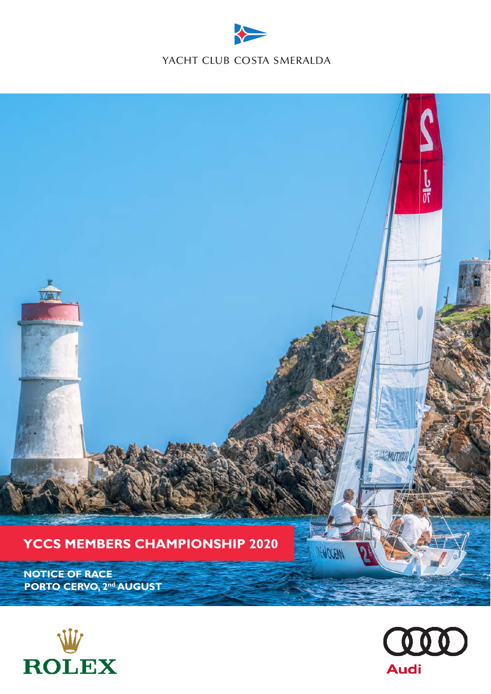





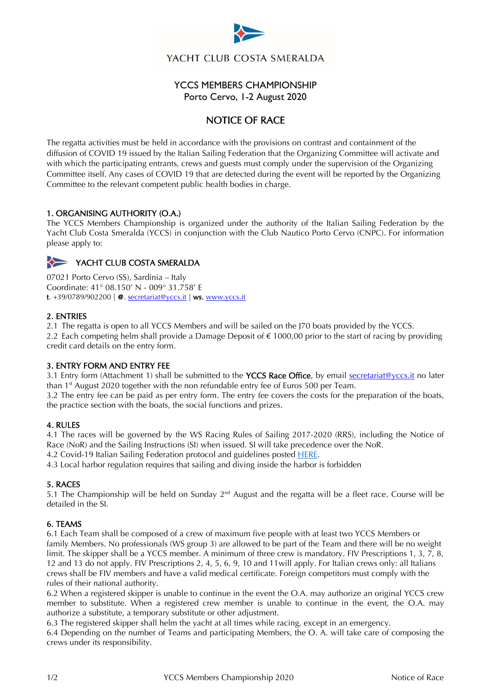

YACHT CLUB COSTA SMERALDA

# YCCS MEMBERS CHAMPIONSHIP Porto Cervo, 1-2 August 2020

# NOTICE OF RACE

The regatta activities must be held in accordance with the provisions on contrast and containment of the diffusion of COVID 19 issued by the Italian Sailing Federation that the Organizing Committee will activate and with which the participating entrants, crews and guests must comply under the supervision of the Organizing Committee itself. Any cases of COVID 19 that are detected during the event will be reported by the Organizing Committee to the relevant competent public health bodies in charge.

## 1. ORGANISING AUTHORITY (O.A.)

The YCCS Members Championship is organized under the authority of the Italian Sailing Federation by the Yacht Club Costa Smeralda (YCCS) in conjunction with the Club Nautico Porto Cervo (CNPC). For information please apply to:

# YACHT CLUB COSTA SMERALDA

07021 Porto Cervo (SS), Sardinia – Italy Coordinate: 41° 08.150' N - 009° 31.758' E t.  $+39/0789/902200$  |  $\Phi$ . [secretariat@yccs.it](mailto:secretariat@yccs.it) | ws. [www.yccs.it](http://www.yccs.it/)

### 2. ENTRIES

2.1 The regatta is open to all YCCS Members and will be sailed on the J70 boats provided by the YCCS.

2.2 Each competing helm shall provide a Damage Deposit of  $\epsilon$  1000,00 prior to the start of racing by providing credit card details on the entry form.

### 3. ENTRY FORM AND ENTRY FEE

3.1 Entry form (Attachment 1) shall be submitted to the YCCS Race Office, by email secretariat@yccs.it no later than 1 st August 2020 together with the non refundable entry fee of Euros 500 per Team.

3.2 The entry fee can be paid as per entry form. The entry fee covers the costs for the preparation of the boats, the practice section with the boats, the social functions and prizes.

### 4. RULES

4.1 The races will be governed by the WS Racing Rules of Sailing 2017-2020 (RRS), including the Notice of Race (NoR) and the Sailing Instructions (SI) when issued. SI will take precedence over the NoR.

4.2 Covid-19 Italian Sailing Federation protocol and guidelines posted **HERE**.

4.3 Local harbor regulation requires that sailing and diving inside the harbor is forbidden

### 5. RACES

5.1 The Championship will be held on Sunday  $2^{nd}$  August and the regatta will be a fleet race. Course will be detailed in the SI.

### 6. TEAMS

6.1 Each Team shall be composed of a crew of maximum five people with at least two YCCS Members or family Members. No professionals (WS group 3) are allowed to be part of the Team and there will be no weight limit. The skipper shall be a YCCS member. A minimum of three crew is mandatory. FIV Prescriptions 1, 3, 7, 8, 12 and 13 do not apply. FIV Prescriptions 2, 4, 5, 6, 9, 10 and 11will apply. For Italian crews only: all Italians crews shall be FIV members and have a valid medical certificate. Foreign competitors must comply with the rules of their national authority.

6.2 When a registered skipper is unable to continue in the event the O.A. may authorize an original YCCS crew member to substitute. When a registered crew member is unable to continue in the event, the O.A. may authorize a substitute, a temporary substitute or other adjustment.

6.3 The registered skipper shall helm the yacht at all times while racing, except in an emergency.

6.4 Depending on the number of Teams and participating Members, the O. A. will take care of composing the crews under its responsibility.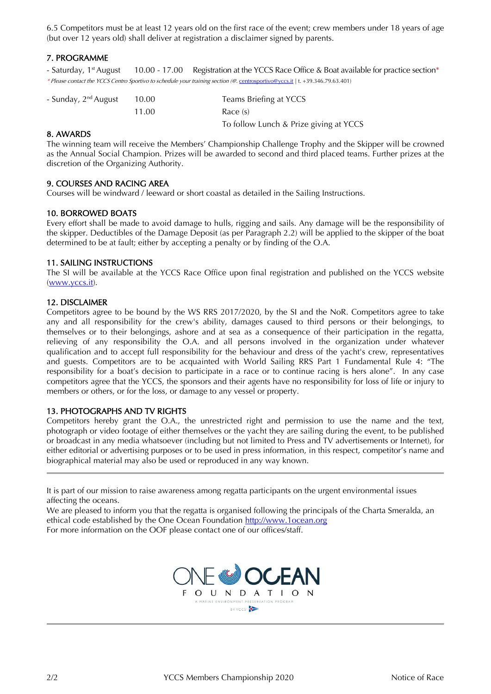6.5 Competitors must be at least 12 years old on the first race of the event; crew members under 18 years of age (but over 12 years old) shall deliver at registration a disclaimer signed by parents.

## 7. PROGRAMME

- Saturday, 1<sup>st</sup> August 10.00 - 17.00 Registration at the YCCS Race Office & Boat available for practice section\* \* Please contact the YCCS Centro Sportivo to schedule your training section (@. [centrosportivo@yccs.it](mailto:centrosportivo@yccs.it) | t. +39.346.79.63.401)

| - Sunday, 2 <sup>nd</sup> August | 10.00 | Teams Briefing at YCCS                 |
|----------------------------------|-------|----------------------------------------|
|                                  | 11.00 | Race (s)                               |
|                                  |       | To follow Lunch & Prize giving at YCCS |

#### 8. AWARDS

The winning team will receive the Members' Championship Challenge Trophy and the Skipper will be crowned as the Annual Social Champion. Prizes will be awarded to second and third placed teams. Further prizes at the discretion of the Organizing Authority.

### 9. COURSES AND RACING AREA

Courses will be windward / leeward or short coastal as detailed in the Sailing Instructions.

### 10. BORROWED BOATS

Every effort shall be made to avoid damage to hulls, rigging and sails. Any damage will be the responsibility of the skipper. Deductibles of the Damage Deposit (as per Paragraph 2.2) will be applied to the skipper of the boat determined to be at fault; either by accepting a penalty or by finding of the O.A.

#### 11. SAILING INSTRUCTIONS

The SI will be available at the YCCS Race Office upon final registration and published on the YCCS website [\(www.yccs.i](http://www.yccs./)t).

#### 12. DISCLAIMER

Competitors agree to be bound by the WS RRS 2017/2020, by the SI and the NoR. Competitors agree to take any and all responsibility for the crew's ability, damages caused to third persons or their belongings, to themselves or to their belongings, ashore and at sea as a consequence of their participation in the regatta, relieving of any responsibility the O.A. and all persons involved in the organization under whatever qualification and to accept full responsibility for the behaviour and dress of the yacht's crew, representatives and guests. Competitors are to be acquainted with World Sailing RRS Part 1 Fundamental Rule 4: "The responsibility for a boat's decision to participate in a race or to continue racing is hers alone". In any case competitors agree that the YCCS, the sponsors and their agents have no responsibility for loss of life or injury to members or others, or for the loss, or damage to any vessel or property.

### 13. PHOTOGRAPHS AND TV RIGHTS

Competitors hereby grant the O.A., the unrestricted right and permission to use the name and the text, photograph or video footage of either themselves or the yacht they are sailing during the event, to be published or broadcast in any media whatsoever (including but not limited to Press and TV advertisements or Internet), for either editorial or advertising purposes or to be used in press information, in this respect, competitor's name and biographical material may also be used or reproduced in any way known.

It is part of our mission to raise awareness among regatta participants on the urgent environmental issues affecting the oceans.

We are pleased to inform you that the regatta is organised following the principals of the Charta Smeralda, an ethical code established by the One Ocean Foundation [http://www.1ocean.org](http://www.1ocean.org/)

For more information on the OOF please contact one of our offices/staff.



f,